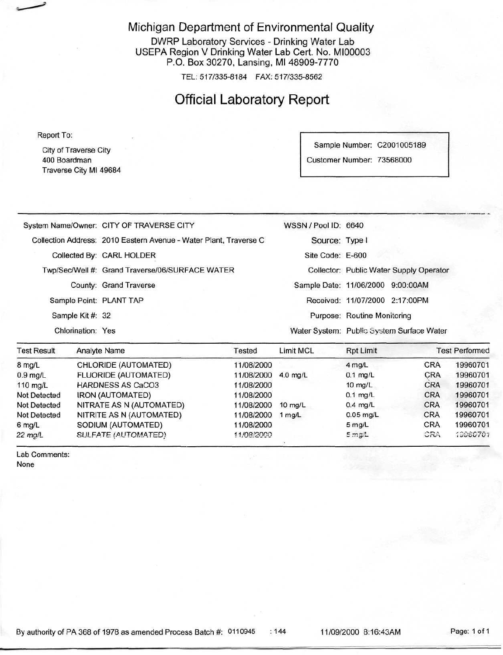#### Michigan Department of Environmental Quality

DWRP Laboratory Services - Drinking Water Lab USEPA Region V Drinking Water Lab Cert. No. M100003 P.O. Box 30270, Lansing, Ml 48909-7770

TEL: 517/335-8184 FAX: 517/335-8562

# Official Laboratory Report

Report To:

City of Traverse City 400 Boardman Traverse City Ml 49684

Sample Number: C2001005189 Customer Number: 73568000

| <b>Test Result</b>      | Analyte Name<br>Tested                                            | Limit MCL            | <b>Rpt Limit</b>                          | <b>Test Performed</b> |
|-------------------------|-------------------------------------------------------------------|----------------------|-------------------------------------------|-----------------------|
| Chlorination: Yes       |                                                                   |                      | Water System: Public System Surface Water |                       |
| Sample Kit #: 32        |                                                                   |                      | Purpose: Routine Monitoring               |                       |
| Sample Point: PLANT TAP |                                                                   |                      | Received: 11/07/2000 2:17:00PM            |                       |
|                         | County: Grand Traverse                                            |                      | Sample Date: 11/06/2000 9:00:00AM         |                       |
|                         | Twp/Sec/Well #: Grand Traverse/06/SURFACE WATER                   |                      | Collector: Public Water Supply Operator   |                       |
|                         | Collected By: CARL HOLDER                                         | Site Code: E-600     |                                           |                       |
|                         | Collection Address: 2010 Eastern Avenue - Water Plant, Traverse C | Source: Type I       |                                           |                       |
|                         | System Name/Owner: CITY OF TRAVERSE CITY                          | WSSN / Pool ID: 6640 |                                           |                       |

| <b>Test Result</b>  | <b>Analyte Name</b>         | Tested<br>11/08/2000 | Limit MCL         | <b>Rpt Limit</b><br>$4$ mg/L | <b>Test Performed</b> |          |
|---------------------|-----------------------------|----------------------|-------------------|------------------------------|-----------------------|----------|
| 8 mg/L              | CHLORIDE (AUTOMATED)        |                      |                   |                              | <b>CRA</b>            | 19960701 |
| $0.9$ mg/L          | <b>FLUORIDE (AUTOMATED)</b> | 11/08/2000           | $4.0$ ma/L        | $0.1$ mg/L                   | <b>CRA</b>            | 19960701 |
| $110 \text{ ma/L}$  | <b>HARDNESS AS CaCO3</b>    | 11/08/2000           |                   | $10 \text{ mg/L}$            | <b>CRA</b>            | 19960701 |
| <b>Not Detected</b> | <b>IRON (AUTOMATED)</b>     | 11/08/2000           |                   | $0.1$ mg/L                   | <b>CRA</b>            | 19960701 |
| <b>Not Detected</b> | NITRATE AS N (AUTOMATED)    | 11/08/2000           | $10 \text{ ma/L}$ | $0.4$ mg/L                   | <b>CRA</b>            | 19960701 |
| Not Detected        | NITRITE AS N (AUTOMATED)    | 11/08/2000           | $1$ mg/L          | $0.05$ mg/L                  | <b>CRA</b>            | 19960701 |
| $6$ mg/L            | SODIUM (AUTOMATED)          | 11/08/2000           |                   | $5$ mg/L                     | <b>CRA</b>            | 19960701 |
| 22 mg/L             | SULFATE (AUTOMATED)         | 11/08/2000           |                   | $5 \text{ mg/L}$             | CRA                   | 19960701 |

Lab Comments: None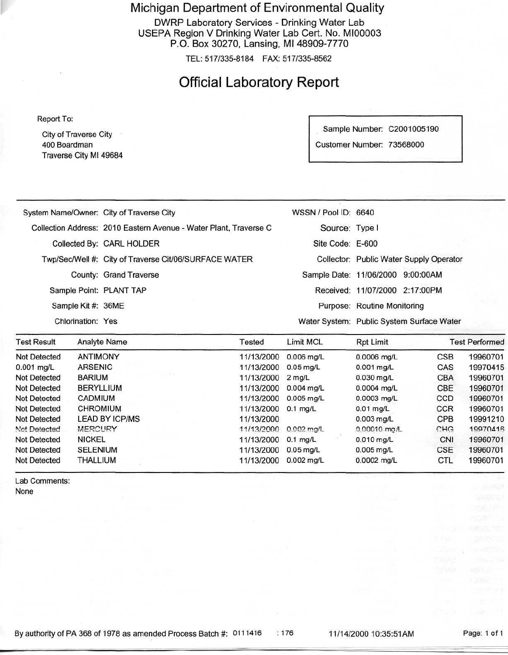Michigan Department of Environmental Quality

DWRP Laboratory Services - Drinking Water Lab USEPA Region V Drinking Water Lab Cert. No. MI00003 P.O. Box 30270, Lansing, Ml 48909-7770

TEL: 517/335-8184 FAX: 517/335-8562

### Official Laboratory Report

Report To:

City of Traverse City 400 Boardman Traverse City Ml 49684 Sample Number: C2001005190

Customer Number: 73568000

| Not Detected       | <b>ANTIMONY</b>    |                                                                   | 11/13/2000 | $0.006$ ma/L                              | $0.0006$ ma/L                  | <b>CSB</b>                              | 19960701              |
|--------------------|--------------------|-------------------------------------------------------------------|------------|-------------------------------------------|--------------------------------|-----------------------------------------|-----------------------|
| <b>Test Result</b> |                    | <b>Analyte Name</b>                                               | Tested     | Limit MCL                                 | Rpt Limit                      |                                         | <b>Test Performed</b> |
|                    | Chlorination: Yes  |                                                                   |            | Water System: Public System Surface Water |                                |                                         |                       |
|                    | Sample Kit #: 36ME |                                                                   |            |                                           | Purpose: Routine Monitoring    |                                         |                       |
|                    |                    | Sample Point: PLANT TAP                                           |            |                                           | Received: 11/07/2000 2:17:00PM |                                         |                       |
|                    |                    | County: Grand Traverse                                            |            | Sample Date: 11/06/2000 9:00:00AM         |                                |                                         |                       |
|                    |                    | Twp/Sec/Well #: City of Traverse Cit/06/SURFACE WATER             |            |                                           |                                | Collector: Public Water Supply Operator |                       |
|                    |                    | Collected By: CARL HOLDER                                         |            | Site Code: E-600                          |                                |                                         |                       |
|                    |                    | Collection Address: 2010 Eastern Avenue - Water Plant, Traverse C |            | Source: Type I                            |                                |                                         |                       |
|                    |                    | System Name/Owner: City of Traverse City                          |            | WSSN / Pool ID: 6640                      |                                |                                         |                       |
|                    |                    |                                                                   |            |                                           |                                |                                         |                       |

| Not Detected        | <b>ANTIMONY</b>       | 11/13/2000           | $0.006$ mg/L             | 0.0006 mg/L    | <b>CSB</b> | 19960701 |
|---------------------|-----------------------|----------------------|--------------------------|----------------|------------|----------|
| $0.001$ mg/L        | <b>ARSENIC</b>        | 11/13/2000 0.05 mg/L |                          | $0.001$ mg/L   | CAS        | 19970415 |
| Not Detected        | <b>BARIUM</b>         | 11/13/2000           | $2$ mg/L                 | $0.030$ mg/L   | <b>CBA</b> | 19960701 |
| Not Detected        | <b>BERYLLIUM</b>      | 11/13/2000           | $0.004$ mg/L             | 0.0004 mg/L    | CBE        | 19960701 |
| Not Detected        | CADMIUM               | 11/13/2000           | $0.005$ mg/L             | 0.0003 mg/L    | <b>CCD</b> | 19960701 |
| Not Detected        | <b>CHROMIUM</b>       | 11/13/2000 0.1 mg/L  |                          | $0.01$ mg/L    | <b>CCR</b> | 19960701 |
| Not Detected        | <b>LEAD BY ICP/MS</b> | 11/13/2000           |                          | $0.003$ mg/L   | CPB        | 19991210 |
| Not Detected        | <b>MERCURY</b>        | 11/13/2000           | $0.002 \,\mathrm{m}$ a/L | $0.00010$ mo/L | CHG        | 19970416 |
| <b>Not Detected</b> | <b>NICKEL</b>         | 11/13/2000 0.1 mg/L  |                          | $0.010$ mg/L   | CNI        | 19960701 |
| Not Detected        | <b>SELENIUM</b>       | 11/13/2000           | $0.05$ mg/L              | $0.005$ mg/L   | <b>CSE</b> | 19960701 |
| Not Detected        | THALLIUM              | 11/13/2000           | $0.002$ ma/L             | 0.0002 mg/L    | <b>CTL</b> | 19960701 |
|                     |                       |                      |                          |                |            |          |

Lab Comments: None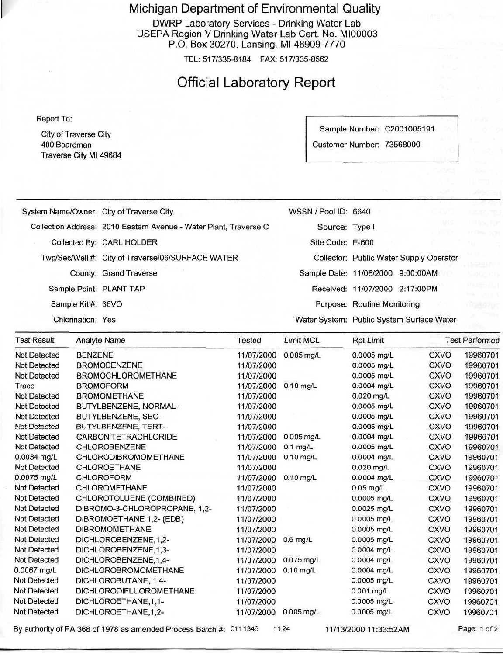Michigan Department of Environmental Quality

DWRP Laboratory Services - Drinking Water Lab USEPA Region V Drinking Water Lab Cert. No. M100003 P.O. Box 30270, Lansing, Ml 48909-7770

TEL: 517/335-8184 FAX: 517/335-8562

### Official Laboratory Report

Report To:

Not Detected Not Detected Not Detected Not Detected

City of Traverse City 400 Boardman Traverse City Ml 49684

Sample Number: C2001005191 Customer Number: 73568000

System Name/Owner: City of Traverse City Collection Address: 2010 Eastern Avenue - Water Plant, Traverse C Collected By: CARL HOLDER Twp/Sec/Well #: City of Traverse/06/SURFACE WATER County: Grand Traverse Sample Point: PLANT TAP Sample Kit #: 36VO Chlorination: Yes WSSN / Pool ID: 6640 Source: Type I Site Code: E-600 Collector: Public Water Supply Operator Sample Date: 11/06/2000 9:00:OOAM Received: 11/07/2000 2:17:OOPM Purpose: Routine Monitoring Water System: Public System Surface Water Test Result Not Detected Not Detected Not Detected Trace Not Detected Not Detected Not Detected Not Detected Not Detected Not Detected 0.0034 mg/L Not Detected 0.0075 mg/L Not Detected Not Detected Not Detected Not Detected Not Detected Not Detected Not Detected Not Detected 0.0067 mg/L Analyte Name BENZENE **BROMOBENZENE** BROMOCHLOROMETHANE BROMOFORM BROMOMETHANE BUTYLBENZENE, NORMAL-BUTYLBENZENE, SEC-BUTYLBENZFNE, TERT-CARBON TETRACHLORIDE CHLOROBENZENE CHLORODIBROMOMETHANE CHLOROETHANE CHLOROFORM CHLOROMETHANE CHLOROTOLUENE (COMBINED) DIBROMO-3-CHLOROPROPANE, 1,2- DIBROMOETHANE 1,2-(EDB) DIBROMOMETHANE DICHLOROBENZENE.1 ,2- DICHLOROBENZENE, 1,3-DICHLOROBENZENE,1 ,4- DICHLOROBROMOMETHANE Tested 11/07/2000 11/07/2000 11/07/2000 11/07/2000 11/07/2000 11/07/2000 11/07/2000 11/07/2000 11/07/2000 11/07/2000 11/07/2000 11/07/2000 11/07/2000 11/07/2000 11/07/2000 11/07/2000 11/07/2000 11/07/2000 11/07/2000 11/07/2000 11/07/2000 11/07/2000 Limit MCL 0.005 mg/L 0.10 mg/L 0.005 mg/L 0.1 mg/L 0.10 mg/L 0.10 mg/L 0.6 mg/L 0.075 mg/L 0.10 mg/L Rpt Limit 0.0005 mg/L 0.0005 mg/L 0.0005 mg/L 0.0004 mg/L 0.020 mg/L 0.0005 mg/L 0.0005 mg/L 0.0005 mg/L 0.0004 mg/L 0.0005 mg/L 0.0004 mg/L 0.020 mg/L 0.0004 mg/L 0.05 mg/L 0.0005 mg/L 0.0025 mg/L 0.0005 mg/L 0.0005 mg/L 0.0005 mg/L 0.0004 mg/L 0.0004 mg/L 0.0004 mg/L Test Performed **CXVO CXVO CXVO CXVO CXVO CXVO CXVO CXVO CXVO CXVO CXVO CXVO** CXVO **CXVO** CXVO **CXVO CXVO CXVO CXVO** CXVO **CXVO CXVO** 19960701 19960701 19960701 19960701 19960701 19960701 19960701 19960701 19960701 19960701 19960701 19960701 19960701 19960701 19960701 19960701 19960701 19960701 19960701 19960701 19960701 19960701

> 11/07/2000 11/07/2000 11/07/2000 11/07/2000

By authority of PA 368 of 1978 as amended Process Batch #: 0111346 : 124 11/13/2000 11:33:52 AM Page: 1 of 2

DICHLORODIFLUOROMETHANE

DICHLOROBUTANE, 1,4-

DICHLOROETHANE,1,1- DICHLOROETHANE,1,2-

0.005 mg/L

0.0005 mg/L 0.001 mg/L 0.0005 mg/L 0.0005 mg/L

CXVO CXVO CXVO **CXVO**